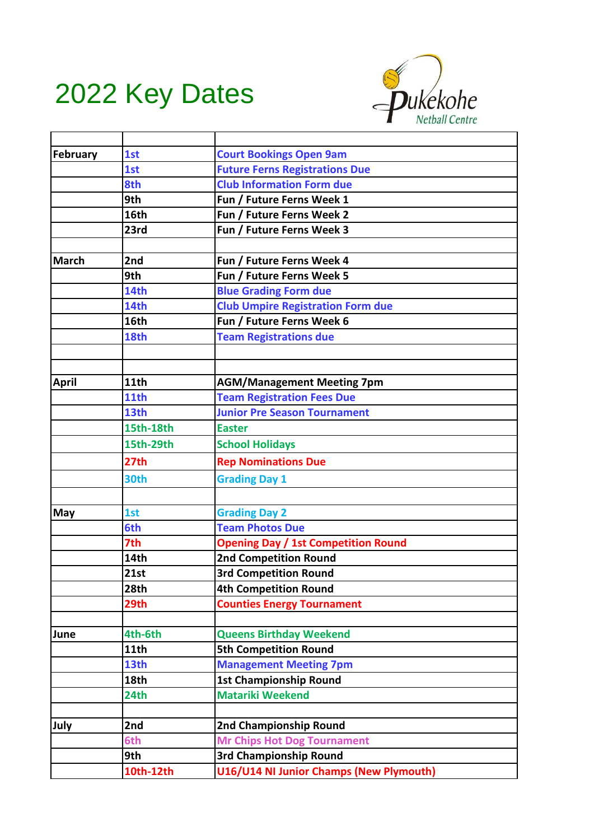## 2022 Key Dates



| February     | 1st              | <b>Court Bookings Open 9am</b>             |
|--------------|------------------|--------------------------------------------|
|              | 1st              | <b>Future Ferns Registrations Due</b>      |
|              | 8th              | <b>Club Information Form due</b>           |
|              | 9th              | Fun / Future Ferns Week 1                  |
|              | 16th             | Fun / Future Ferns Week 2                  |
|              | 23rd             | Fun / Future Ferns Week 3                  |
|              |                  |                                            |
| <b>March</b> | 2nd              | Fun / Future Ferns Week 4                  |
|              | 9th              | Fun / Future Ferns Week 5                  |
|              | 14th             | <b>Blue Grading Form due</b>               |
|              | 14th             | <b>Club Umpire Registration Form due</b>   |
|              | 16th             | Fun / Future Ferns Week 6                  |
|              | 18th             | <b>Team Registrations due</b>              |
|              |                  |                                            |
|              |                  |                                            |
| <b>April</b> | 11th             | <b>AGM/Management Meeting 7pm</b>          |
|              | 11th             | <b>Team Registration Fees Due</b>          |
|              | 13th             | <b>Junior Pre Season Tournament</b>        |
|              | 15th-18th        | <b>Easter</b>                              |
|              | 15th-29th        | <b>School Holidays</b>                     |
|              | 27 <sub>th</sub> | <b>Rep Nominations Due</b>                 |
|              | 30th             | <b>Grading Day 1</b>                       |
|              |                  |                                            |
| <b>May</b>   | 1st              | <b>Grading Day 2</b>                       |
|              | 6th              | <b>Team Photos Due</b>                     |
|              | 7th              | <b>Opening Day / 1st Competition Round</b> |
|              | 14th             | <b>2nd Competition Round</b>               |
|              | 21st             | <b>3rd Competition Round</b>               |
|              | 28th             | <b>4th Competition Round</b>               |
|              | 29th             | <b>Counties Energy Tournament</b>          |
|              |                  |                                            |
| June         | 4th-6th          | <b>Queens Birthday Weekend</b>             |
|              | 11th             | <b>5th Competition Round</b>               |
|              | 13th             | <b>Management Meeting 7pm</b>              |
|              | 18th             | <b>1st Championship Round</b>              |
|              | 24th             | <b>Matariki Weekend</b>                    |
|              |                  |                                            |
| July         | 2nd              | 2nd Championship Round                     |
|              | 6th              | <b>Mr Chips Hot Dog Tournament</b>         |
|              | 9th              | 3rd Championship Round                     |
|              | 10th-12th        | U16/U14 NI Junior Champs (New Plymouth)    |